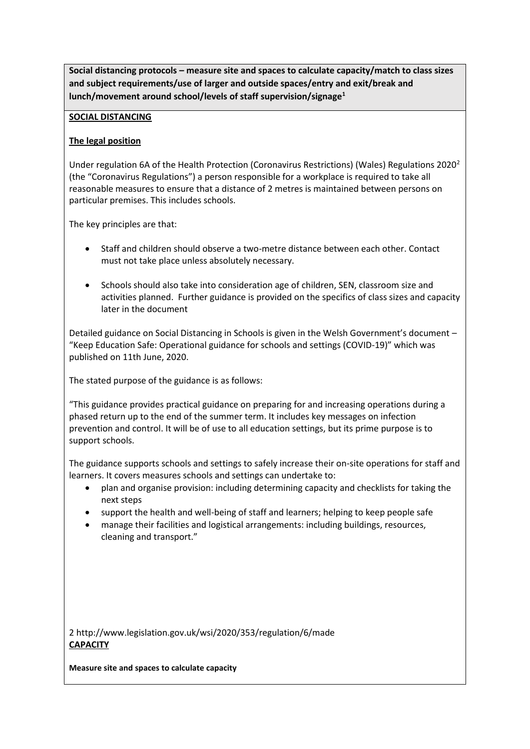**Social distancing protocols – measure site and spaces to calculate capacity/match to class sizes and subject requirements/use of larger and outside spaces/entry and exit/break and lunch/movement around school/levels of staff supervision/signage<sup>1</sup>**

### **SOCIAL DISTANCING**

### **The legal position**

Under regulation 6A of the Health Protection (Coronavirus Restrictions) (Wales) Regulations 2020<sup>2</sup> (the "Coronavirus Regulations") a person responsible for a workplace is required to take all reasonable measures to ensure that a distance of 2 metres is maintained between persons on particular premises. This includes schools.

The key principles are that:

- Staff and children should observe a two-metre distance between each other. Contact must not take place unless absolutely necessary.
- Schools should also take into consideration age of children, SEN, classroom size and activities planned. Further guidance is provided on the specifics of class sizes and capacity later in the document

Detailed guidance on Social Distancing in Schools is given in the Welsh Government's document – "Keep Education Safe: Operational guidance for schools and settings (COVID-19)" which was published on 11th June, 2020.

The stated purpose of the guidance is as follows:

"This guidance provides practical guidance on preparing for and increasing operations during a phased return up to the end of the summer term. It includes key messages on infection prevention and control. It will be of use to all education settings, but its prime purpose is to support schools.

The guidance supports schools and settings to safely increase their on-site operations for staff and learners. It covers measures schools and settings can undertake to:

- plan and organise provision: including determining capacity and checklists for taking the next steps
- support the health and well-being of staff and learners; helping to keep people safe
- manage their facilities and logistical arrangements: including buildings, resources, cleaning and transport."

2 http://www.legislation.gov.uk/wsi/2020/353/regulation/6/made **CAPACITY**

**Measure site and spaces to calculate capacity**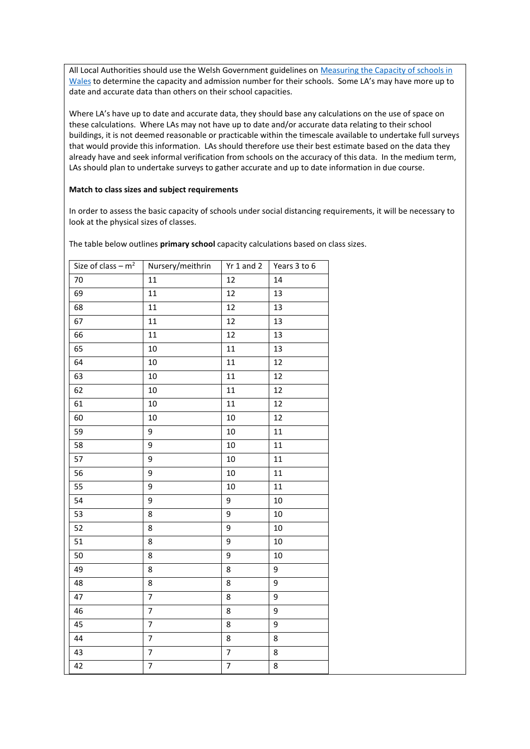All Local Authorities should use the Welsh Government guidelines on Measuring the Capacity of schools in Wales to determine the capacity and admission number for their schools. Some LA's may have more up to date and accurate data than others on their school capacities.

Where LA's have up to date and accurate data, they should base any calculations on the use of space on these calculations. Where LAs may not have up to date and/or accurate data relating to their school buildings, it is not deemed reasonable or practicable within the timescale available to undertake full surveys that would provide this information. LAs should therefore use their best estimate based on the data they already have and seek informal verification from schools on the accuracy of this data. In the medium term, LAs should plan to undertake surveys to gather accurate and up to date information in due course.

#### **Match to class sizes and subject requirements**

In order to assess the basic capacity of schools under social distancing requirements, it will be necessary to look at the physical sizes of classes.

| Size of class $-m^2$ | Nursery/meithrin |                | $\vert$ Yr 1 and 2 $\vert$ Years 3 to 6 |
|----------------------|------------------|----------------|-----------------------------------------|
| 70                   | 11               | $12\,$         | 14                                      |
| 69                   | 11               | 12             | 13                                      |
| 68                   | $11\,$           | 12             | 13                                      |
| 67                   | $11\,$           | 12             | 13                                      |
| 66                   | 11               | 12             | 13                                      |
| 65                   | $10\,$           | 11             | 13                                      |
| 64                   | $10\,$           | 11             | 12                                      |
| 63                   | $10\,$           | 11             | 12                                      |
| 62                   | 10               | 11             | 12                                      |
| 61                   | $10\,$           | $11\,$         | 12                                      |
| 60                   | 10               | $10\,$         | 12                                      |
| 59                   | 9                | 10             | 11                                      |
| 58                   | 9                | $10\,$         | $11\,$                                  |
| 57                   | 9                | $10\,$         | $11\,$                                  |
| 56                   | 9                | $10\,$         | 11                                      |
| 55                   | 9                | $10\,$         | 11                                      |
| 54                   | 9                | 9              | 10                                      |
| 53                   | 8                | 9              | 10                                      |
| 52                   | 8                | 9              | 10                                      |
| 51                   | 8                | 9              | 10                                      |
| 50                   | 8                | 9              | 10                                      |
| 49                   | 8                | 8              | 9                                       |
| 48                   | 8                | 8              | 9                                       |
| 47                   | $\overline{7}$   | 8              | 9                                       |
| 46                   | $\overline{7}$   | 8              | 9                                       |
| 45                   | $\overline{7}$   | 8              | 9                                       |
| 44                   | $\overline{7}$   | 8              | 8                                       |
| 43                   | $\overline{7}$   | $\overline{7}$ | 8                                       |
| 42                   | $\overline{7}$   | $\overline{7}$ | 8                                       |

The table below outlines **primary school** capacity calculations based on class sizes.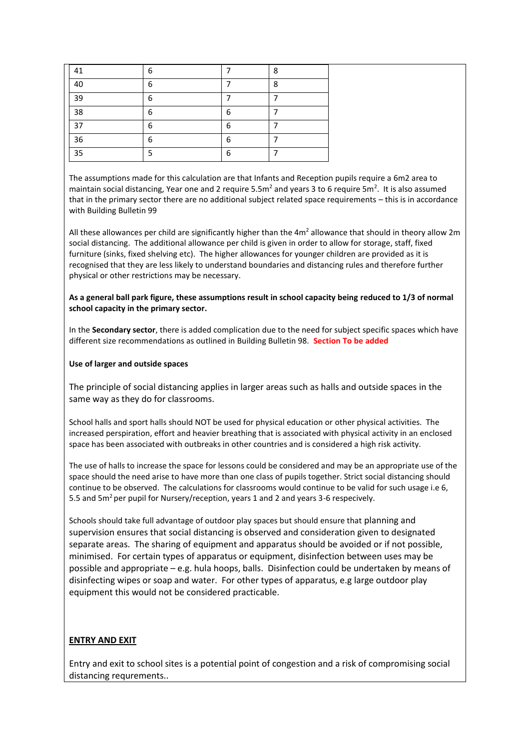| 41 | 6 |   | 8 |
|----|---|---|---|
| 40 | 6 |   | 8 |
| 39 | 6 |   |   |
| 38 | 6 | 6 |   |
| 37 | 6 | 6 |   |
| 36 | 6 | 6 |   |
| 35 |   | 6 |   |

The assumptions made for this calculation are that Infants and Reception pupils require a 6m2 area to maintain social distancing, Year one and 2 require 5.5m<sup>2</sup> and years 3 to 6 require 5m<sup>2</sup>. It is also assumed that in the primary sector there are no additional subject related space requirements – this is in accordance with Building Bulletin 99

All these allowances per child are significantly higher than the  $4m<sup>2</sup>$  allowance that should in theory allow  $2m$ social distancing. The additional allowance per child is given in order to allow for storage, staff, fixed furniture (sinks, fixed shelving etc). The higher allowances for younger children are provided as it is recognised that they are less likely to understand boundaries and distancing rules and therefore further physical or other restrictions may be necessary.

**As a general ball park figure, these assumptions result in school capacity being reduced to 1/3 of normal school capacity in the primary sector.**

In the **Secondary sector**, there is added complication due to the need for subject specific spaces which have different size recommendations as outlined in Building Bulletin 98. **Section To be added**

#### **Use of larger and outside spaces**

The principle of social distancing applies in larger areas such as halls and outside spaces in the same way as they do for classrooms.

School halls and sport halls should NOT be used for physical education or other physical activities. The increased perspiration, effort and heavier breathing that is associated with physical activity in an enclosed space has been associated with outbreaks in other countries and is considered a high risk activity.

The use of halls to increase the space for lessons could be considered and may be an appropriate use of the space should the need arise to have more than one class of pupils together. Strict social distancing should continue to be observed. The calculations for classrooms would continue to be valid for such usage i.e 6, 5.5 and  $5m^2$  per pupil for Nursery/reception, years 1 and 2 and years 3-6 respecively.

Schools should take full advantage of outdoor play spaces but should ensure that planning and supervision ensures that social distancing is observed and consideration given to designated separate areas. The sharing of equipment and apparatus should be avoided or if not possible, minimised. For certain types of apparatus or equipment, disinfection between uses may be possible and appropriate – e.g. hula hoops, balls. Disinfection could be undertaken by means of disinfecting wipes or soap and water. For other types of apparatus, e.g large outdoor play equipment this would not be considered practicable.

### **ENTRY AND EXIT**

Entry and exit to school sites is a potential point of congestion and a risk of compromising social distancing requrements..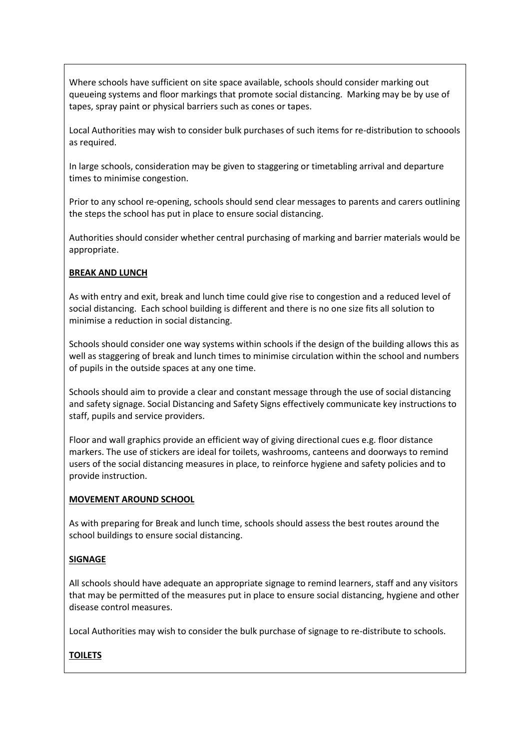Where schools have sufficient on site space available, schools should consider marking out queueing systems and floor markings that promote social distancing. Marking may be by use of tapes, spray paint or physical barriers such as cones or tapes.

Local Authorities may wish to consider bulk purchases of such items for re-distribution to schoools as required.

In large schools, consideration may be given to staggering or timetabling arrival and departure times to minimise congestion.

Prior to any school re-opening, schools should send clear messages to parents and carers outlining the steps the school has put in place to ensure social distancing.

Authorities should consider whether central purchasing of marking and barrier materials would be appropriate.

### **BREAK AND LUNCH**

As with entry and exit, break and lunch time could give rise to congestion and a reduced level of social distancing. Each school building is different and there is no one size fits all solution to minimise a reduction in social distancing.

Schools should consider one way systems within schools if the design of the building allows this as well as staggering of break and lunch times to minimise circulation within the school and numbers of pupils in the outside spaces at any one time.

Schools should aim to provide a clear and constant message through the use of social distancing and safety signage. Social Distancing and Safety Signs effectively communicate key instructions to staff, pupils and service providers.

Floor and wall graphics provide an efficient way of giving directional cues e.g. floor distance markers. The use of stickers are ideal for toilets, washrooms, canteens and doorways to remind users of the social distancing measures in place, to reinforce hygiene and safety policies and to provide instruction.

### **MOVEMENT AROUND SCHOOL**

As with preparing for Break and lunch time, schools should assess the best routes around the school buildings to ensure social distancing.

# **SIGNAGE**

All schools should have adequate an appropriate signage to remind learners, staff and any visitors that may be permitted of the measures put in place to ensure social distancing, hygiene and other disease control measures.

Local Authorities may wish to consider the bulk purchase of signage to re-distribute to schools.

# **TOILETS**